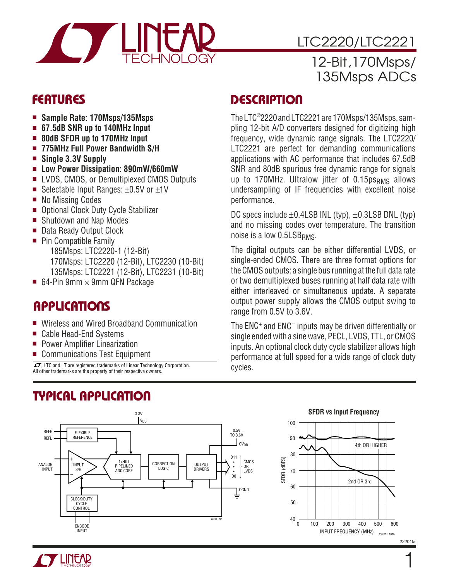

# LTC2220/LTC2221

### 12-Bit,170Msps/ 135Msps ADCs

- **Sample Rate: 170Msps/135Msps**
- **67.5dB SNR up to 140MHz Input**
- 80dB SFDR up to 170MHz Input
- **775MHz Full Power Bandwidth S/H**
- **Single 3.3V Supply**
- **Low Power Dissipation: 890mW/660mW**
- LVDS, CMOS, or Demultiplexed CMOS Outputs
- Selectable Input Ranges: ±0.5V or ±1V
- No Missing Codes
- Optional Clock Duty Cycle Stabilizer
- Shutdown and Nap Modes
- Data Ready Output Clock
- Pin Compatible Family 185Msps: LTC2220-1 (12-Bit) 170Msps: LTC2220 (12-Bit), LTC2230 (10-Bit) 135Msps: LTC2221 (12-Bit), LTC2231 (10-Bit)
- 64-Pin 9mm  $\times$  9mm QFN Package

# **APPLICATIONS**

- Wireless and Wired Broadband Communication
- Cable Head-End Systems
- Power Amplifier Linearization
- Communications Test Equipment

 $\overline{\mathcal{L}\mathcal{I}}$ . LTC and LT are registered trademarks of Linear Technology Corporation. All other trademarks are the property of their respective owners.

# **TYPICAL APPLICATIO U**

# **FEATURES DESCRIPTIO U**

The LTC® 2220 and LTC2221 are 170Msps/135Msps, sampling 12-bit A/D converters designed for digitizing high frequency, wide dynamic range signals. The LTC2220/ LTC2221 are perfect for demanding communications applications with AC performance that includes 67.5dB SNR and 80dB spurious free dynamic range for signals up to 170MHz. Ultralow jitter of  $0.15$ ps<sub>RMS</sub> allows undersampling of IF frequencies with excellent noise performance.

DC specs include  $\pm$ 0.4LSB INL (typ),  $\pm$ 0.3LSB DNL (typ) and no missing codes over temperature. The transition noise is a low  $0.5LSB<sub>RMS</sub>$ .

The digital outputs can be either differential LVDS, or single-ended CMOS. There are three format options for the CMOS outputs: a single bus running at the full data rate or two demultiplexed buses running at half data rate with either interleaved or simultaneous update. A separate output power supply allows the CMOS output swing to range from 0.5V to 3.6V.

The ENC+ and ENC– inputs may be driven differentially or single ended with a sine wave, PECL, LVDS, TTL, or CMOS inputs. An optional clock duty cycle stabilizer allows high performance at full speed for a wide range of clock duty cycles.



#### **SFDR vs Input Frequency**

22201fa

22201 TA01b

1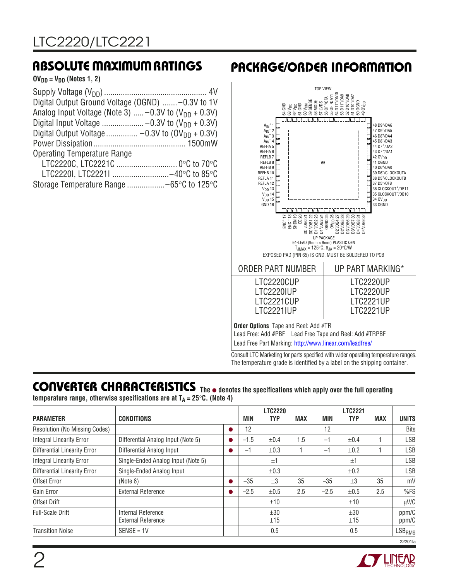$OV_{DD} = V_{DD}$  (Notes 1, 2)

| Digital Output Ground Voltage (OGND)  -0.3V to 1V                 |  |
|-------------------------------------------------------------------|--|
| Analog Input Voltage (Note 3) $-0.3V$ to (V <sub>DD</sub> + 0.3V) |  |
|                                                                   |  |
|                                                                   |  |
|                                                                   |  |
| <b>Operating Temperature Range</b>                                |  |
|                                                                   |  |
| LTC2220I, LTC2221I -40°C to 85°C                                  |  |
| Storage Temperature Range -65°C to 125°C                          |  |

# **ABSOLUTE MAXIMUM RATINGS PACKAGE/ORDER INFORMATION**



Consult LTC Marketing for parts specified with wider operating temperature ranges. The temperature grade is identified by a label on the shipping container.

**CO VERTER CHARACTERISTICS U The** ● **denotes the specifications which apply over the full operating temperature range, otherwise specifications are at**  $T_A = 25^{\circ}C$ **. (Note 4)** 

|                                      |                                    |           |        | <b>LTC2220</b> |            |        | <b>LTC2221</b> |            |               |
|--------------------------------------|------------------------------------|-----------|--------|----------------|------------|--------|----------------|------------|---------------|
| <b>PARAMETER</b>                     | <b>CONDITIONS</b>                  |           | MIN    | <b>TYP</b>     | <b>MAX</b> | MIN    | <b>TYP</b>     | <b>MAX</b> | <b>UNITS</b>  |
| <b>Resolution (No Missing Codes)</b> |                                    | $\bullet$ | 12     |                |            | 12     |                |            | <b>Bits</b>   |
| <b>Integral Linearity Error</b>      | Differential Analog Input (Note 5) |           | $-1.5$ | ±0.4           | 1.5        | $-1$   | ±0.4           |            | <b>LSB</b>    |
| <b>Differential Linearity Error</b>  | Differential Analog Input          | $\bullet$ | -1     | $\pm 0.3$      |            | $-1$   | ±0.2           |            | <b>LSB</b>    |
| <b>Integral Linearity Error</b>      | Single-Ended Analog Input (Note 5) |           |        | $\pm 1$        |            |        | ±1             |            | <b>LSB</b>    |
| <b>Differential Linearity Error</b>  | Single-Ended Analog Input          |           |        | $\pm 0.3$      |            |        | ±0.2           |            | <b>LSB</b>    |
| Offset Error                         | (Note 6)                           | $\bullet$ | $-35$  | $\pm 3$        | 35         | $-35$  | $\pm 3$        | 35         | mV            |
| Gain Error                           | <b>External Reference</b>          |           | $-2.5$ | ±0.5           | 2.5        | $-2.5$ | $\pm 0.5$      | 2.5        | %FS           |
| Offset Drift                         |                                    |           |        | ±10            |            |        | ±10            |            | $\mu$ V/C     |
| <b>Full-Scale Drift</b>              | Internal Reference                 |           |        | ±30            |            |        | ±30            |            | ppm/C         |
|                                      | <b>External Reference</b>          |           |        | ±15            |            |        | ±15            |            | ppm/C         |
| <b>Transition Noise</b>              | $SENSE = 1V$                       |           |        | 0.5            |            |        | 0.5            |            | <b>LSBRMS</b> |

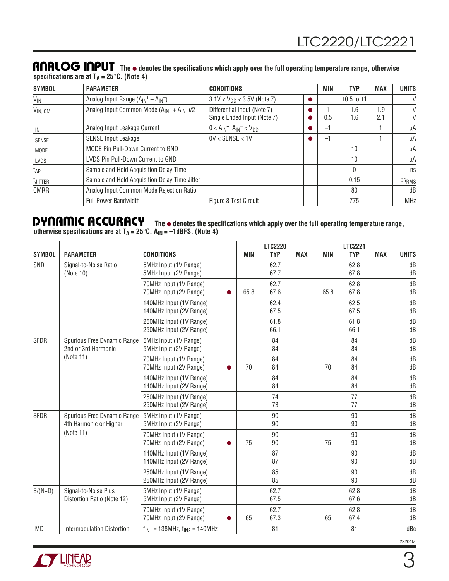#### **ANALOG INPUT** The  $\bullet$  denotes the specifications which apply over the full operating temperature range, otherwise **specifications are at TA = 25**°**C. (Note 4)**

| <b>SYMBOL</b>       | <b>PARAMETER</b>                                   | <b>CONDITIONS</b>                                          | <b>MIN</b> | <b>TYP</b>           | <b>MAX</b> | <b>UNITS</b>      |
|---------------------|----------------------------------------------------|------------------------------------------------------------|------------|----------------------|------------|-------------------|
| $V_{\text{IN}}$     | Analog Input Range $(A_{IN}^+ - A_{IN}^-)$         | $3.1$ V < V <sub>DD</sub> < 3.5V (Note 7)                  |            | $\pm 0.5$ to $\pm 1$ |            | V                 |
| $V_{IN, CM}$        | Analog Input Common Mode $(A_{IN}^+ + A_{IN}^-)/2$ | Differential Input (Note 7)<br>Single Ended Input (Note 7) | 0.5        | 1.6<br>1.6           | 1.9<br>2.1 | V<br>V            |
| <sup>1</sup> IN     | Analog Input Leakage Current                       | $0 < A_{IN}^+$ , $A_{IN}^- < V_{DD}$                       | Ξ.         |                      |            | μA                |
| <b>ISENSE</b>       | <b>SENSE Input Leakage</b>                         | $0V <$ SENSE $< 1V$                                        | Ξ.         |                      |            | μA                |
| <b>IMODE</b>        | MODE Pin Pull-Down Current to GND                  |                                                            |            | 10                   |            | μA                |
| <b>ILVDS</b>        | LVDS Pin Pull-Down Current to GND                  |                                                            |            | 10                   |            | μA                |
| t <sub>AP</sub>     | Sample and Hold Acquisition Delay Time             |                                                            |            | 0                    |            | ns                |
| <sup>t</sup> JITTER | Sample and Hold Acquisition Delay Time Jitter      |                                                            |            | 0.15                 |            | ps <sub>RMS</sub> |
| <b>CMRR</b>         | Analog Input Common Mode Rejection Ratio           |                                                            |            | 80                   |            | dB                |
|                     | <b>Full Power Bandwidth</b>                        | Figure 8 Test Circuit                                      |            | 775                  |            | <b>MHz</b>        |

#### **DYNAMIC ACCURACY** The  $\bullet$  denotes the specifications which apply over the full operating temperature range, **otherwise specifications are at TA = 25**°**C. AIN = –1dBFS. (Note 4)**

|               |                                                       |                                                    |           |            | <b>LTC2220</b> |            |            | <b>LTC2221</b> |            |              |
|---------------|-------------------------------------------------------|----------------------------------------------------|-----------|------------|----------------|------------|------------|----------------|------------|--------------|
| <b>SYMBOL</b> | <b>PARAMETER</b>                                      | <b>CONDITIONS</b>                                  |           | <b>MIN</b> | <b>TYP</b>     | <b>MAX</b> | <b>MIN</b> | <b>TYP</b>     | <b>MAX</b> | <b>UNITS</b> |
| <b>SNR</b>    | Signal-to-Noise Ratio<br>(Note 10)                    | 5MHz Input (1V Range)<br>5MHz Input (2V Range)     |           |            | 62.7<br>67.7   |            |            | 62.8<br>67.8   |            | dB<br>dB     |
|               |                                                       | 70MHz Input (1V Range)<br>70MHz Input (2V Range)   | $\bullet$ | 65.8       | 62.7<br>67.6   |            | 65.8       | 62.8<br>67.8   |            | dB<br>dB     |
|               |                                                       | 140MHz Input (1V Range)<br>140MHz Input (2V Range) |           |            | 62.4<br>67.5   |            |            | 62.5<br>67.5   |            | dB<br>dB     |
|               |                                                       | 250MHz Input (1V Range)<br>250MHz Input (2V Range) |           |            | 61.8<br>66.1   |            |            | 61.8<br>66.1   |            | dB<br>dB     |
| <b>SFDR</b>   | Spurious Free Dynamic Range<br>2nd or 3rd Harmonic    | 5MHz Input (1V Range)<br>5MHz Input (2V Range)     |           |            | 84<br>84       |            |            | 84<br>84       |            | dB<br>dB     |
|               | (Note 11)                                             | 70MHz Input (1V Range)<br>70MHz Input (2V Range)   | $\bullet$ | 70         | 84<br>84       |            | 70         | 84<br>84       |            | dB<br>dB     |
|               |                                                       | 140MHz Input (1V Range)<br>140MHz Input (2V Range) |           |            | 84<br>84       |            |            | 84<br>84       |            | dB<br>dB     |
|               |                                                       | 250MHz Input (1V Range)<br>250MHz Input (2V Range) |           |            | 74<br>73       |            |            | 77<br>77       |            | dB<br>dB     |
| <b>SFDR</b>   | Spurious Free Dynamic Range<br>4th Harmonic or Higher | 5MHz Input (1V Range)<br>5MHz Input (2V Range)     |           |            | 90<br>90       |            |            | 90<br>90       |            | dB<br>dB     |
|               | (Note 11)                                             | 70MHz Input (1V Range)<br>70MHz Input (2V Range)   | $\bullet$ | 75         | 90<br>90       |            | 75         | 90<br>90       |            | dB<br>dB     |
|               |                                                       | 140MHz Input (1V Range)<br>140MHz Input (2V Range) |           |            | 87<br>87       |            |            | 90<br>90       |            | dB<br>dB     |
|               |                                                       | 250MHz Input (1V Range)<br>250MHz Input (2V Range) |           |            | 85<br>85       |            |            | 90<br>90       |            | dB<br>dB     |
| $S/(N+D)$     | Signal-to-Noise Plus<br>Distortion Ratio (Note 12)    | 5MHz Input (1V Range)<br>5MHz Input (2V Range)     |           |            | 62.7<br>67.5   |            |            | 62.8<br>67.6   |            | dB<br>dB     |
|               |                                                       | 70MHz Input (1V Range)<br>70MHz Input (2V Range)   | $\bullet$ | 65         | 62.7<br>67.3   |            | 65         | 62.8<br>67.4   |            | dB<br>dB     |
| <b>IMD</b>    | <b>Intermodulation Distortion</b>                     | $f_{IN1}$ = 138MHz, $f_{IN2}$ = 140MHz             |           |            | 81             |            |            | 81             |            | dBc          |

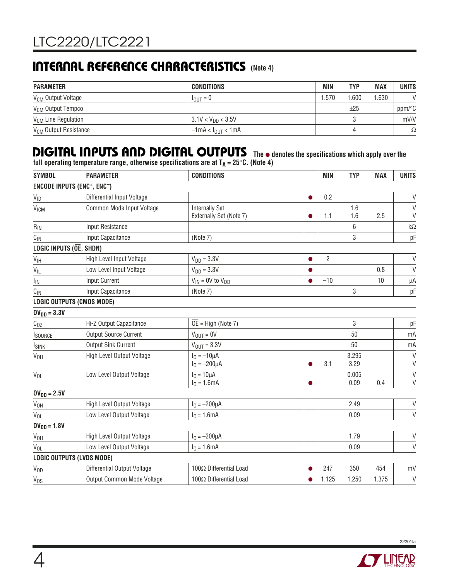# **INTERNAL REFERENCE CHARACTERISTICS** (Note 4)

| <b>PARAMETER</b>                  | <b>CONDITIONS</b>                 | MIN   | TYP   | <b>MAX</b> | <b>UNITS</b>         |
|-----------------------------------|-----------------------------------|-------|-------|------------|----------------------|
| V <sub>CM</sub> Output Voltage    | $I_{\text{OUT}} = 0$              | 1.570 | 1.600 | 1.630      | V                    |
| V <sub>CM</sub> Output Tempco     |                                   |       | ±25   |            | $ppm$ <sup>o</sup> C |
| V <sub>CM</sub> Line Regulation   | $13.1$ V < V <sub>DD</sub> < 3.5V |       |       |            | mV/V                 |
| V <sub>CM</sub> Output Resistance | $-1$ mA < $I_{\text{OUT}}$ < 1 mA |       |       |            | Ω                    |

# **DIGITAL INPUTS AND DIGITAL OUTPUTS** The  $\bullet$  denotes the specifications which apply over the

**full operating temperature range, otherwise specifications are at TA = 25**°**C. (Note 4)**

| <b>SYMBOL</b>                          | <b>PARAMETER</b>                 | <b>CONDITIONS</b>                                |           | <b>MIN</b>     | <b>TYP</b>    | <b>MAX</b> | <b>UNITS</b>       |
|----------------------------------------|----------------------------------|--------------------------------------------------|-----------|----------------|---------------|------------|--------------------|
|                                        | ENCODE INPUTS (ENC+, ENC-)       |                                                  |           |                |               |            |                    |
| $V_{ID}$                               | Differential Input Voltage       |                                                  | $\bullet$ | 0.2            |               |            | $\mathsf{V}$       |
| VICM                                   | Common Mode Input Voltage        | <b>Internally Set</b><br>Externally Set (Note 7) |           | 1.1            | 1.6<br>1.6    | 2.5        | $\vee$<br>$\vee$   |
| $R_{\text{IN}}$                        | Input Resistance                 |                                                  |           |                | 6             |            | $\mathsf{k}\Omega$ |
| $C_{\text{IN}}$                        | Input Capacitance                | (Note 7)                                         |           |                | 3             |            | рF                 |
| LOGIC INPUTS ( $\overline{OE}$ , SHDN) |                                  |                                                  |           |                |               |            |                    |
| $\mathsf{V}_{\mathsf{IH}}$             | High Level Input Voltage         | $V_{DD} = 3.3V$                                  |           | $\overline{2}$ |               |            | $\mathsf{V}$       |
| $V_{IL}$                               | Low Level Input Voltage          | $V_{DD} = 3.3V$                                  |           |                |               | 0.8        | $\vee$             |
| $I_{\mathsf{IN}}$                      | <b>Input Current</b>             | $V_{IN}$ = 0V to $V_{DD}$                        |           | $-10$          |               | 10         | μA                 |
| $C_{IN}$                               | Input Capacitance                | (Note 7)                                         |           |                | 3             |            | pF                 |
|                                        | <b>LOGIC OUTPUTS (CMOS MODE)</b> |                                                  |           |                |               |            |                    |
| $OV_{DD} = 3.3V$                       |                                  |                                                  |           |                |               |            |                    |
| $C_{OZ}$                               | Hi-Z Output Capacitance          | $\overline{OE}$ = High (Note 7)                  |           |                | 3             |            | pF                 |
| <b>I</b> source                        | <b>Output Source Current</b>     | $V_{\text{OUT}} = 0V$                            |           |                | 50            |            | mA                 |
| <b>I</b> <sub>SINK</sub>               | <b>Output Sink Current</b>       | $V_{\text{OUT}} = 3.3V$                          |           |                | 50            |            | mA                 |
| $V_{OH}$                               | High Level Output Voltage        | $I_0 = -10 \mu A$<br>$I_0 = -200 \mu A$          |           | 3.1            | 3.295<br>3.29 |            | $\vee$<br>$\vee$   |
| $V_{OL}$                               | Low Level Output Voltage         | $I_0 = 10 \mu A$<br>$I_0 = 1.6mA$                |           |                | 0.005<br>0.09 | 0.4        | $\vee$<br>$\vee$   |
| $OV_{DD} = 2.5V$                       |                                  |                                                  |           |                |               |            |                    |
| V <sub>OH</sub>                        | High Level Output Voltage        | $I_0 = -200 \mu A$                               |           |                | 2.49          |            | $\vee$             |
| $V_{OL}$                               | Low Level Output Voltage         | $I_0 = 1.6mA$                                    |           |                | 0.09          |            | $\vee$             |
| $OV_{DD} = 1.8V$                       |                                  |                                                  |           |                |               |            |                    |
| V <sub>OH</sub>                        | High Level Output Voltage        | $I_0 = -200 \mu A$                               |           |                | 1.79          |            | $\mathsf{V}$       |
| $V_{OL}$                               | Low Level Output Voltage         | $I_0 = 1.6mA$                                    |           |                | 0.09          |            | $\vee$             |
|                                        | <b>LOGIC OUTPUTS (LVDS MODE)</b> |                                                  |           |                |               |            |                    |
| $V_{OD}$                               | Differential Output Voltage      | 100Ω Differential Load                           |           | 247            | 350           | 454        | mV                 |
| $V_{OS}$                               | Output Common Mode Voltage       | 100Ω Differential Load                           |           | 1.125          | 1.250         | 1.375      | $\vee$             |

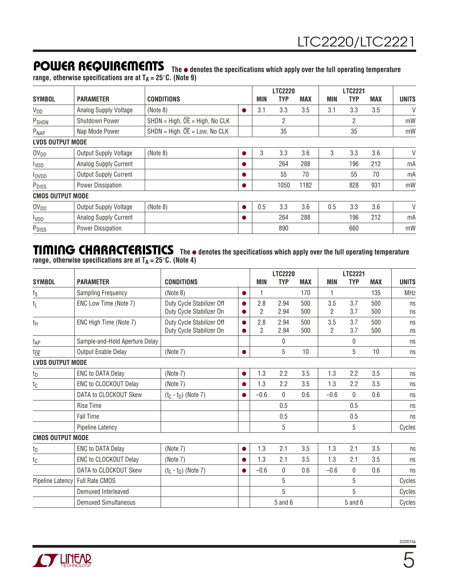**POWER REQUIREMENTS** The  $\bullet$  denotes the specifications which apply over the full operating temperature **range, otherwise specifications are at TA = 25**°**C. (Note 9)**

|                         |                              |                                             |   |     | <b>LTC2220</b> |            |     | <b>LTC2221</b> |            |              |
|-------------------------|------------------------------|---------------------------------------------|---|-----|----------------|------------|-----|----------------|------------|--------------|
| <b>SYMBOL</b>           | <b>PARAMETER</b>             | <b>CONDITIONS</b>                           |   | MIN | TYP            | <b>MAX</b> | MIN | TYP            | <b>MAX</b> | <b>UNITS</b> |
| $V_{DD}$                | Analog Supply Voltage        | (Note 8)                                    | 0 | 3.1 | 3.3            | 3.5        | 3.1 | 3.3            | 3.5        | $\vee$       |
| P <sub>SHDN</sub>       | Shutdown Power               | $SHDN = High, \overline{OE} = High, No CLK$ |   |     | 2              |            |     | 2              |            | mW           |
| P <sub>NAP</sub>        | Nap Mode Power               | $SHDN = High, \overline{OE} = Low, No CLK$  |   |     | 35             |            |     | 35             |            | mW           |
| <b>LVDS OUTPUT MODE</b> |                              |                                             |   |     |                |            |     |                |            |              |
| OV <sub>DD</sub>        | Output Supply Voltage        | (Note 8)                                    |   | 3   | 3.3            | 3.6        | 3   | 3.3            | 3.6        | V            |
| <b>I</b> VDD            | Analog Supply Current        |                                             | 0 |     | 264            | 288        |     | 196            | 212        | mA           |
| <b>l</b> ovpp           | <b>Output Supply Current</b> |                                             |   |     | 55             | 70         |     | 55             | 70         | mA           |
| P <sub>DISS</sub>       | Power Dissipation            |                                             |   |     | 1050           | 1182       |     | 828            | 931        | mW           |
| <b>CMOS OUTPUT MODE</b> |                              |                                             |   |     |                |            |     |                |            |              |
| OV <sub>DD</sub>        | Output Supply Voltage        | (Note 8)                                    |   | 0.5 | 3.3            | 3.6        | 0.5 | 3.3            | 3.6        | $\vee$       |
| <b>I</b> VDD            | Analog Supply Current        |                                             | 0 |     | 264            | 288        |     | 196            | 212        | mA           |
| P <sub>DISS</sub>       | Power Dissipation            |                                             |   |     | 890            |            |     | 660            |            | mW           |

### **TI I G CHARACTERISTICS <sup>W</sup> <sup>U</sup> The** ● **denotes the specifications which apply over the full operating temperature range, otherwise specifications are at TA = 25**°**C. (Note 4)**

|                         |                                |                                                       |           |            | <b>LTC2220</b> |            |            | <b>LTC2221</b> |            |              |
|-------------------------|--------------------------------|-------------------------------------------------------|-----------|------------|----------------|------------|------------|----------------|------------|--------------|
| <b>SYMBOL</b>           | <b>PARAMETER</b>               | <b>CONDITIONS</b>                                     |           | <b>MIN</b> | <b>TYP</b>     | <b>MAX</b> | <b>MIN</b> | <b>TYP</b>     | <b>MAX</b> | <b>UNITS</b> |
| $\frac{f_S}{\Box}$      | <b>Sampling Frequency</b>      | (Note 8)                                              | $\bullet$ | 1          |                | 170        | 1          |                | 135        | <b>MHz</b>   |
| tL                      | ENC Low Time (Note 7)          | Duty Cycle Stabilizer Off<br>Duty Cycle Stabilizer On |           | 2.8<br>2   | 2.94<br>2.94   | 500<br>500 | 3.5<br>2   | 3.7<br>3.7     | 500<br>500 | ns<br>ns     |
| tн                      | ENC High Time (Note 7)         | Duty Cycle Stabilizer Off<br>Duty Cycle Stabilizer On |           | 2.8<br>2   | 2.94<br>2.94   | 500<br>500 | 3.5<br>2   | 3.7<br>3.7     | 500<br>500 | ns<br>ns     |
| t <sub>AP</sub>         | Sample-and-Hold Aperture Delay |                                                       |           |            | $\Omega$       |            |            | $\mathbf{0}$   |            | ns           |
| toE                     | Output Enable Delay            | (Note 7)                                              | ●         |            | 5              | 10         |            | 5              | 10         | ns           |
| <b>LVDS OUTPUT MODE</b> |                                |                                                       |           |            |                |            |            |                |            |              |
| $t_{D}$                 | <b>ENC to DATA Delay</b>       | (Note 7)                                              | 0         | 1.3        | 2.2            | 3.5        | 1.3        | 2.2            | 3.5        | ns           |
| $t_{\rm C}$             | ENC to CLOCKOUT Delay          | (Note 7)                                              |           | 1.3        | 2.2            | 3.5        | 1.3        | 2.2            | 3.5        | ns           |
|                         | DATA to CLOCKOUT Skew          | $(t_C - t_D)$ (Note 7)                                |           | $-0.6$     | $\Omega$       | 0.6        | $-0.6$     | $\mathbf{0}$   | 0.6        | ns           |
|                         | <b>Rise Time</b>               |                                                       |           |            | 0.5            |            |            | 0.5            |            | ns           |
|                         | <b>Fall Time</b>               |                                                       |           |            | 0.5            |            |            | 0.5            |            | ns           |
|                         | Pipeline Latency               |                                                       |           |            | 5              |            |            | 5              |            | Cycles       |
| <b>CMOS OUTPUT MODE</b> |                                |                                                       |           |            |                |            |            |                |            |              |
| tp                      | <b>ENC to DATA Delay</b>       | (Note 7)                                              | ●         | 1.3        | 2.1            | 3.5        | 1.3        | 2.1            | 3.5        | ns           |
| $t_{\rm C}$             | ENC to CLOCKOUT Delay          | (Note 7)                                              | O         | 1.3        | 2.1            | 3.5        | 1.3        | 2.1            | 3.5        | ns           |
|                         | DATA to CLOCKOUT Skew          | $(t_C - t_D)$ (Note 7)                                | ●         | $-0.6$     | $\mathbf{0}$   | 0.6        | $-0.6$     | $\mathbf{0}$   | 0.6        | ns           |
| Pipeline Latency        | Full Rate CMOS                 |                                                       |           |            | 5              |            |            | 5              |            | Cycles       |
|                         | Demuxed Interleaved            |                                                       |           |            | 5              |            |            | 5              |            | Cycles       |
|                         | <b>Demuxed Simultaneous</b>    |                                                       |           |            | $5$ and $6$    |            |            | $5$ and $6$    |            | Cycles       |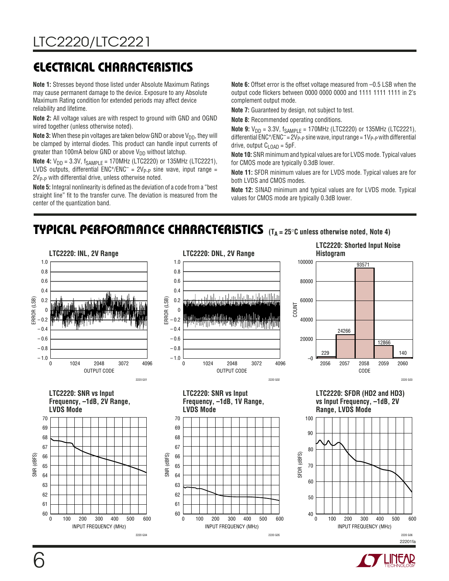# **ELECTRICAL CHARACTERISTICS**

**Note 1:** Stresses beyond those listed under Absolute Maximum Ratings may cause permanent damage to the device. Exposure to any Absolute Maximum Rating condition for extended periods may affect device reliability and lifetime.

**Note 2:** All voltage values are with respect to ground with GND and OGND wired together (unless otherwise noted).

**Note 3:** When these pin voltages are taken below GND or above V<sub>DD</sub>, they will be clamped by internal diodes. This product can handle input currents of greater than 100mA below GND or above  $V_{DD}$  without latchup.

**Note 4:**  $V_{DD} = 3.3V$ ,  $f_{SAMPLE} = 170MHz$  (LTC2220) or 135MHz (LTC2221), LVDS outputs, differential  $ENC^{+}/ENC^{-} = 2V_{P-P}$  sine wave, input range = 2V<sub>P-P</sub> with differential drive, unless otherwise noted.

**Note 5:** Integral nonlinearity is defined as the deviation of a code from a "best straight line" fit to the transfer curve. The deviation is measured from the center of the quantization band.

**Note 6:** Offset error is the offset voltage measured from –0.5 LSB when the output code flickers between 0000 0000 0000 and 1111 1111 1111 in 2's complement output mode.

**Note 7:** Guaranteed by design, not subject to test.

**Note 8:** Recommended operating conditions.

**Note 9:**  $V_{DD}$  = 3.3V,  $f_{SAMPLE}$  = 170MHz (LTC2220) or 135MHz (LTC2221), differential  $ENC^{+}/ENC^{-} = 2V_{P-P}$  sine wave, input range =  $1V_{P-P}$  with differential drive, output  $C<sub>L</sub>$ <sub>OAD</sub> = 5pF.

**Note 10:** SNR minimum and typical values are for LVDS mode. Typical values for CMOS mode are typically 0.3dB lower.

**Note 11:** SFDR minimum values are for LVDS mode. Typical values are for both LVDS and CMOS modes.

**Note 12:** SINAD minimum and typical values are for LVDS mode. Typical values for CMOS mode are typically 0.3dB lower.

### **TYPICAL PERFORMANCE CHARACTERISTICS** (T<sub>A</sub> = 25°C unless otherwise noted, Note 4)



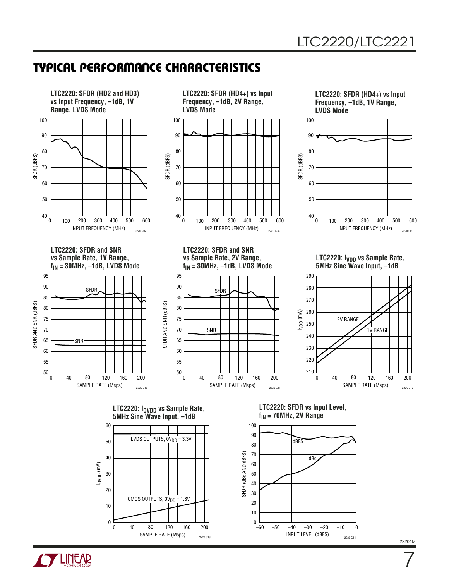







7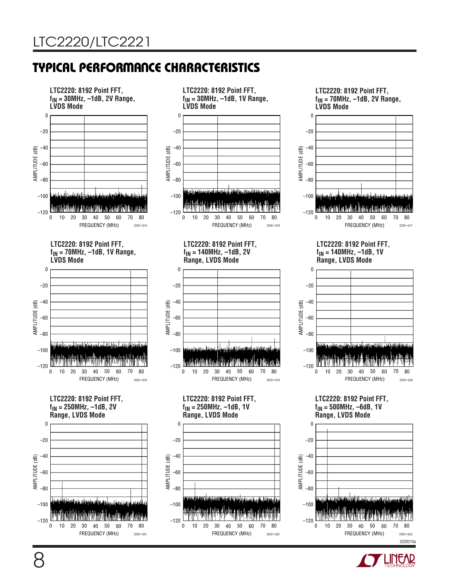

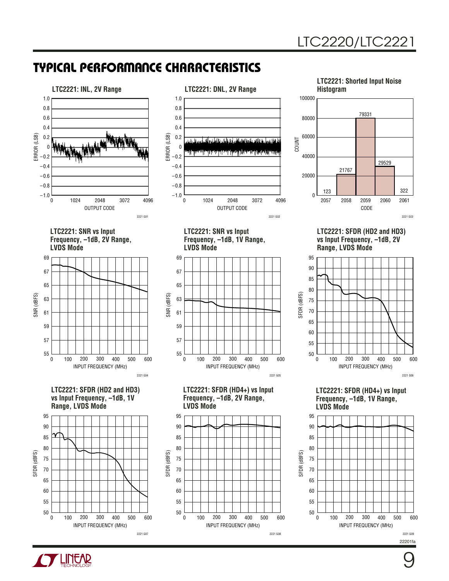

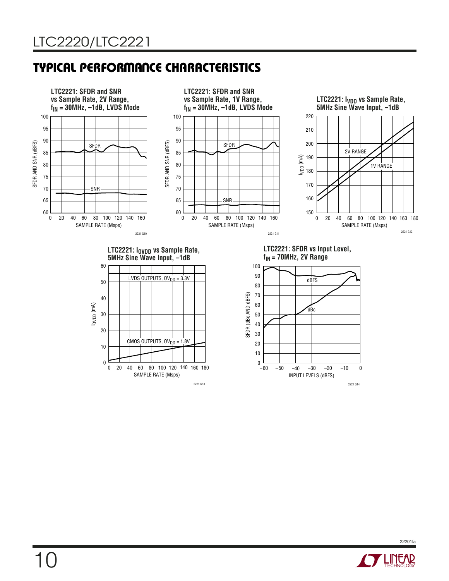

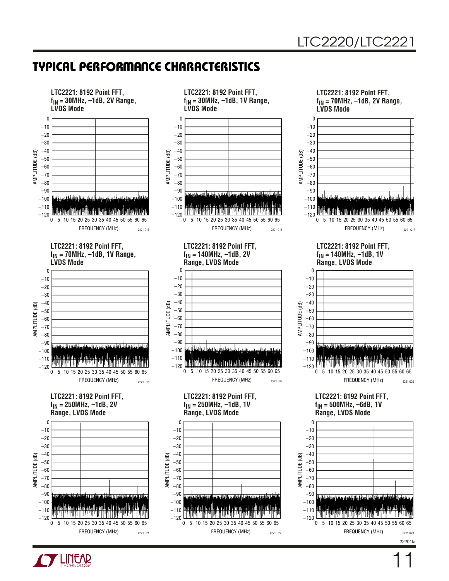

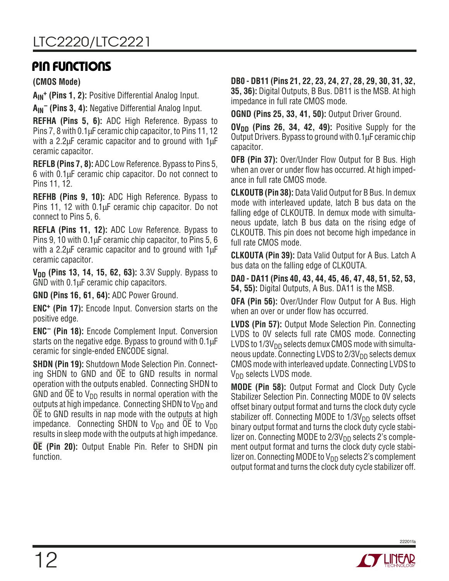## **PIN FUNCTIONS**

**(CMOS Mode)**

A<sub>IN</sub><sup>+</sup> (Pins 1, 2): Positive Differential Analog Input.

**AIN– (Pins 3, 4):** Negative Differential Analog Input.

**REFHA (Pins 5, 6):** ADC High Reference. Bypass to Pins 7, 8 with 0.1µF ceramic chip capacitor, to Pins 11, 12 with a 2.2 $\mu$ F ceramic capacitor and to ground with 1 $\mu$ F ceramic capacitor.

**REFLB (Pins 7, 8):** ADC Low Reference. Bypass to Pins 5, 6 with 0.1µF ceramic chip capacitor. Do not connect to Pins 11, 12.

**REFHB (Pins 9, 10):** ADC High Reference. Bypass to Pins 11, 12 with 0.1µF ceramic chip capacitor. Do not connect to Pins 5, 6.

**REFLA (Pins 11, 12):** ADC Low Reference. Bypass to Pins 9, 10 with 0.1µF ceramic chip capacitor, to Pins 5, 6 with a 2.2µF ceramic capacitor and to ground with 1µF ceramic capacitor.

**V<sub>DD</sub>** (Pins 13, 14, 15, 62, 63): 3.3V Supply. Bypass to GND with 0.1µF ceramic chip capacitors.

**GND (Pins 16, 61, 64):** ADC Power Ground.

**ENC+ (Pin 17):** Encode Input. Conversion starts on the positive edge.

**ENC– (Pin 18):** Encode Complement Input. Conversion starts on the negative edge. Bypass to ground with 0.1µF ceramic for single-ended ENCODE signal.

**SHDN (Pin 19):** Shutdown Mode Selection Pin. Connecting SHDN to GND and OE to GND results in normal operation with the outputs enabled. Connecting SHDN to GND and OE to  $V_{DD}$  results in normal operation with the outputs at high impedance. Connecting SHDN to  $V_{DD}$  and OE to GND results in nap mode with the outputs at high impedance. Connecting SHDN to  $V_{DD}$  and OE to  $V_{DD}$ results in sleep mode with the outputs at high impedance.

**OE (Pin 20):** Output Enable Pin. Refer to SHDN pin function.

**DB0 - DB11 (Pins 21, 22, 23, 24, 27, 28, 29, 30, 31, 32, 35, 36):** Digital Outputs, B Bus. DB11 is the MSB. At high impedance in full rate CMOS mode.

**OGND (Pins 25, 33, 41, 50):** Output Driver Ground.

**OV<sub>DD</sub>** (Pins 26, 34, 42, 49): Positive Supply for the Output Drivers. Bypass to ground with 0.1µF ceramic chip capacitor.

**OFB (Pin 37):** Over/Under Flow Output for B Bus. High when an over or under flow has occurred. At high impedance in full rate CMOS mode.

**CLKOUTB (Pin 38):** Data Valid Output for B Bus. In demux mode with interleaved update, latch B bus data on the falling edge of CLKOUTB. In demux mode with simultaneous update, latch B bus data on the rising edge of CLKOUTB. This pin does not become high impedance in full rate CMOS mode.

**CLKOUTA (Pin 39):** Data Valid Output for A Bus. Latch A bus data on the falling edge of CLKOUTA.

**DA0 - DA11 (Pins 40, 43, 44, 45, 46, 47, 48, 51, 52, 53, 54, 55):** Digital Outputs, A Bus. DA11 is the MSB.

**OFA (Pin 56):** Over/Under Flow Output for A Bus. High when an over or under flow has occurred.

**LVDS (Pin 57):** Output Mode Selection Pin. Connecting LVDS to 0V selects full rate CMOS mode. Connecting LVDS to  $1/3V_{DD}$  selects demux CMOS mode with simultaneous update. Connecting LVDS to  $2/3V_{DD}$  selects demux CMOS mode with interleaved update. Connecting LVDS to  $V_{DD}$  selects LVDS mode.

**MODE (Pin 58):** Output Format and Clock Duty Cycle Stabilizer Selection Pin. Connecting MODE to 0V selects offset binary output format and turns the clock duty cycle stabilizer off. Connecting MODE to  $1/3V<sub>DD</sub>$  selects offset binary output format and turns the clock duty cycle stabilizer on. Connecting MODE to  $2/3V_{DD}$  selects 2's complement output format and turns the clock duty cycle stabilizer on. Connecting MODE to  $V_{DD}$  selects 2's complement output format and turns the clock duty cycle stabilizer off.

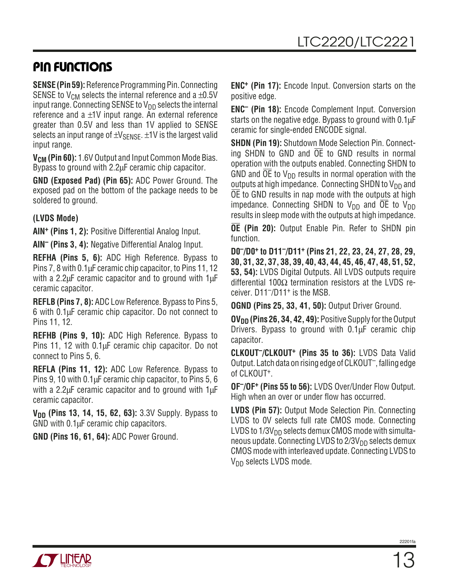# **PIN FUNCTIONS**

**SENSE (Pin 59):** Reference Programming Pin. Connecting SENSE to V<sub>CM</sub> selects the internal reference and a  $\pm 0.5$ V input range. Connecting SENSE to  $V_{DD}$  selects the internal reference and a  $\pm$ 1V input range. An external reference greater than 0.5V and less than 1V applied to SENSE selects an input range of  $\pm V_{\text{SENSE}}$ .  $\pm 1V$  is the largest valid input range.

**V<sub>CM</sub>** (Pin 60): 1.6V Output and Input Common Mode Bias. Bypass to ground with 2.2µF ceramic chip capacitor.

**GND (Exposed Pad) (Pin 65):** ADC Power Ground. The exposed pad on the bottom of the package needs to be soldered to ground.

### **(LVDS Mode)**

**AIN+ (Pins 1, 2):** Positive Differential Analog Input.

**AIN– (Pins 3, 4):** Negative Differential Analog Input.

**REFHA (Pins 5, 6):** ADC High Reference. Bypass to Pins 7, 8 with 0.1µF ceramic chip capacitor, to Pins 11, 12 with a 2.2µF ceramic capacitor and to ground with 1µF ceramic capacitor.

**REFLB (Pins 7, 8):** ADC Low Reference. Bypass to Pins 5, 6 with 0.1µF ceramic chip capacitor. Do not connect to Pins 11, 12.

**REFHB (Pins 9, 10):** ADC High Reference. Bypass to Pins 11, 12 with 0.1µF ceramic chip capacitor. Do not connect to Pins 5, 6.

**REFLA (Pins 11, 12):** ADC Low Reference. Bypass to Pins 9, 10 with 0.1µF ceramic chip capacitor, to Pins 5, 6 with a 2.2µF ceramic capacitor and to ground with 1µF ceramic capacitor.

**V<sub>DD</sub>** (Pins 13, 14, 15, 62, 63): 3.3V Supply. Bypass to GND with 0.1µF ceramic chip capacitors.

**GND (Pins 16, 61, 64):** ADC Power Ground.

**ENC+ (Pin 17):** Encode Input. Conversion starts on the positive edge.

**ENC– (Pin 18):** Encode Complement Input. Conversion starts on the negative edge. Bypass to ground with 0.1 $\mu$ F ceramic for single-ended ENCODE signal.

**SHDN (Pin 19):** Shutdown Mode Selection Pin. Connecting SHDN to GND and OE to GND results in normal operation with the outputs enabled. Connecting SHDN to GND and  $\overline{OE}$  to  $V_{DD}$  results in normal operation with the outputs at high impedance. Connecting SHDN to  $V_{DD}$  and OE to GND results in nap mode with the outputs at high impedance. Connecting SHDN to  $V_{DD}$  and OE to  $V_{DD}$ results in sleep mode with the outputs at high impedance.

**OE (Pin 20):** Output Enable Pin. Refer to SHDN pin function.

**D0–/D0+ to D11–/D11+ (Pins 21, 22, 23, 24, 27, 28, 29, 30, 31, 32, 37, 38, 39, 40, 43, 44, 45, 46, 47, 48, 51, 52, 53, 54):** LVDS Digital Outputs. All LVDS outputs require differential 100Ω termination resistors at the LVDS receiver. D11–/D11+ is the MSB.

**OGND (Pins 25, 33, 41, 50):** Output Driver Ground.

**OV<sub>DD</sub>** (Pins 26, 34, 42, 49): Positive Supply for the Output Drivers. Bypass to ground with 0.1µF ceramic chip capacitor.

**CLKOUT–/CLKOUT+ (Pins 35 to 36):** LVDS Data Valid Output. Latch data on rising edge of CLKOUT–, falling edge of CLKOUT+.

**OF–/OF+ (Pins 55 to 56):** LVDS Over/Under Flow Output. High when an over or under flow has occurred.

**LVDS (Pin 57):** Output Mode Selection Pin. Connecting LVDS to 0V selects full rate CMOS mode. Connecting LVDS to  $1/3V_{DD}$  selects demux CMOS mode with simultaneous update. Connecting LVDS to  $2/3V_{DD}$  selects demux CMOS mode with interleaved update. Connecting LVDS to  $V_{DD}$  selects LVDS mode.

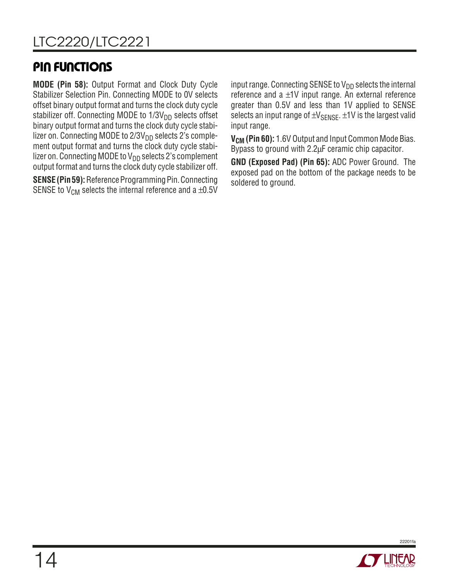# **PIN FUNCTIONS**

**MODE (Pin 58):** Output Format and Clock Duty Cycle Stabilizer Selection Pin. Connecting MODE to 0V selects offset binary output format and turns the clock duty cycle stabilizer off. Connecting MODE to  $1/3V<sub>DD</sub>$  selects offset binary output format and turns the clock duty cycle stabilizer on. Connecting MODE to 2/3V<sub>DD</sub> selects 2's complement output format and turns the clock duty cycle stabilizer on. Connecting MODE to  $V_{DD}$  selects 2's complement output format and turns the clock duty cycle stabilizer off.

**SENSE (Pin 59):** Reference Programming Pin. Connecting SENSE to  $V_{CM}$  selects the internal reference and a  $\pm 0.5V$ 

input range. Connecting SENSE to  $V_{DD}$  selects the internal reference and a  $\pm 1V$  input range. An external reference greater than 0.5V and less than 1V applied to SENSE selects an input range of  $\pm V_{\text{SFNSF}}$ .  $\pm 1V$  is the largest valid input range.

**V<sub>CM</sub>** (Pin 60): 1.6V Output and Input Common Mode Bias. Bypass to ground with 2.2µF ceramic chip capacitor.

**GND (Exposed Pad) (Pin 65):** ADC Power Ground. The exposed pad on the bottom of the package needs to be soldered to ground.

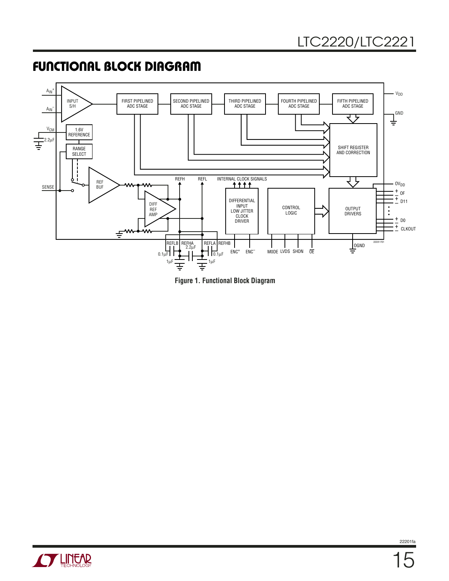# **FUNCTIONAL BLOCK DIAGRAM**





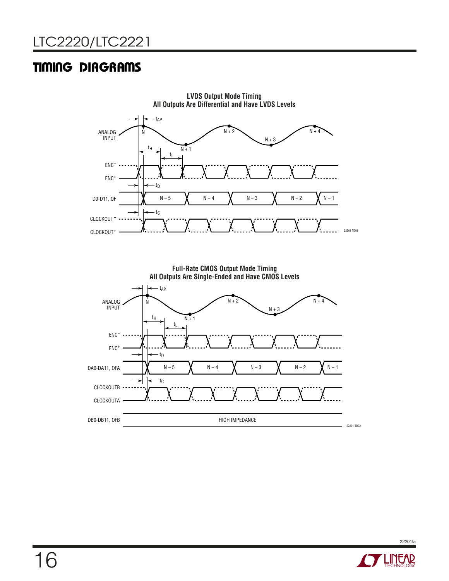# **TIMING DIAGRAMS**



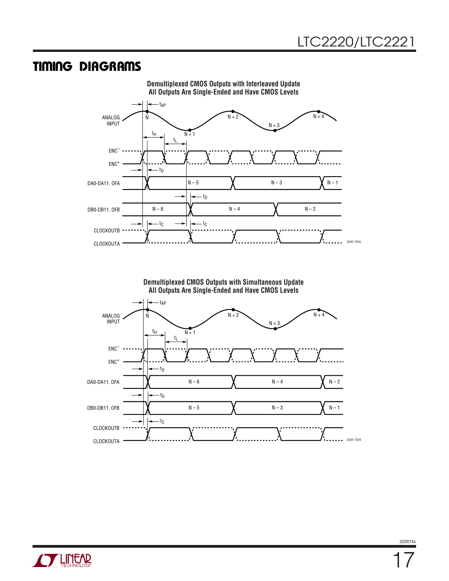### **TIMING DIAGRAMS**



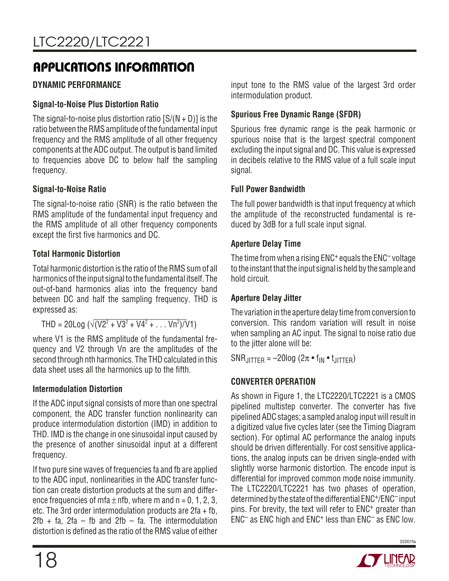### **DYNAMIC PERFORMANCE**

### **Signal-to-Noise Plus Distortion Ratio**

The signal-to-noise plus distortion ratio  $[S/(N + D)]$  is the ratio between the RMS amplitude of the fundamental input frequency and the RMS amplitude of all other frequency components at the ADC output. The output is band limited to frequencies above DC to below half the sampling frequency.

### **Signal-to-Noise Ratio**

The signal-to-noise ratio (SNR) is the ratio between the RMS amplitude of the fundamental input frequency and the RMS amplitude of all other frequency components except the first five harmonics and DC.

### **Total Harmonic Distortion**

Total harmonic distortion is the ratio of the RMS sum of all harmonics of the input signal to the fundamental itself. The out-of-band harmonics alias into the frequency band between DC and half the sampling frequency. THD is expressed as:

THD = 20Log ( $\sqrt{(V^2 + V^2 + V^4^2 + ... V^2)^2}$ 

where V1 is the RMS amplitude of the fundamental frequency and V2 through Vn are the amplitudes of the second through nth harmonics. The THD calculated in this data sheet uses all the harmonics up to the fifth.

### **Intermodulation Distortion**

If the ADC input signal consists of more than one spectral component, the ADC transfer function nonlinearity can produce intermodulation distortion (IMD) in addition to THD. IMD is the change in one sinusoidal input caused by the presence of another sinusoidal input at a different frequency.

If two pure sine waves of frequencies fa and fb are applied to the ADC input, nonlinearities in the ADC transfer function can create distortion products at the sum and difference frequencies of mfa  $\pm$  nfb, where m and n = 0, 1, 2, 3, etc. The 3rd order intermodulation products are 2fa + fb,  $2fb + fa$ ,  $2fa - fb$  and  $2fb - fa$ . The intermodulation distortion is defined as the ratio of the RMS value of either input tone to the RMS value of the largest 3rd order intermodulation product.

### **Spurious Free Dynamic Range (SFDR)**

Spurious free dynamic range is the peak harmonic or spurious noise that is the largest spectral component excluding the input signal and DC. This value is expressed in decibels relative to the RMS value of a full scale input signal.

### **Full Power Bandwidth**

The full power bandwidth is that input frequency at which the amplitude of the reconstructed fundamental is reduced by 3dB for a full scale input signal.

### **Aperture Delay Time**

The time from when a rising ENC<sup>+</sup> equals the ENC<sup>-</sup> voltage to the instant that the input signal is held by the sample and hold circuit.

### **Aperture Delay Jitter**

The variation in the aperture delay time from conversion to conversion. This random variation will result in noise when sampling an AC input. The signal to noise ratio due to the jitter alone will be:

 $SNR$ JITTER =  $-20$ log ( $2\pi \cdot f_{IN} \cdot f_{JITTER}$ )

### **CONVERTER OPERATION**

As shown in Figure 1, the LTC2220/LTC2221 is a CMOS pipelined multistep converter. The converter has five pipelined ADC stages; a sampled analog input will result in a digitized value five cycles later (see the Timing Diagram section). For optimal AC performance the analog inputs should be driven differentially. For cost sensitive applications, the analog inputs can be driven single-ended with slightly worse harmonic distortion. The encode input is differential for improved common mode noise immunity. The LTC2220/LTC2221 has two phases of operation, determined by the state of the differential ENC+/ENC– input pins. For brevity, the text will refer to ENC+ greater than ENC– as ENC high and ENC+ less than ENC– as ENC low.

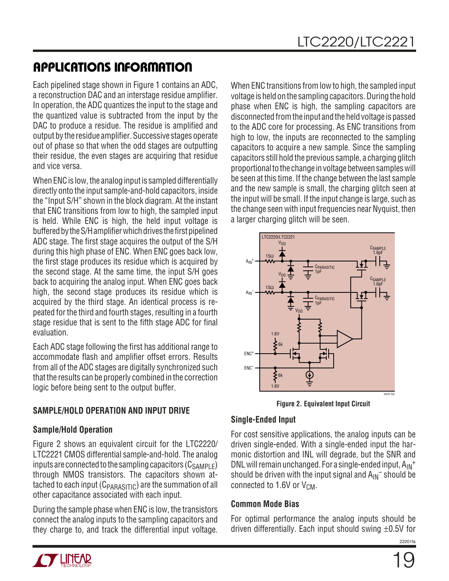Each pipelined stage shown in Figure 1 contains an ADC, a reconstruction DAC and an interstage residue amplifier. In operation, the ADC quantizes the input to the stage and the quantized value is subtracted from the input by the DAC to produce a residue. The residue is amplified and output by the residue amplifier. Successive stages operate out of phase so that when the odd stages are outputting their residue, the even stages are acquiring that residue and vice versa.

When ENC is low, the analog input is sampled differentially directly onto the input sample-and-hold capacitors, inside the "Input S/H" shown in the block diagram. At the instant that ENC transitions from low to high, the sampled input is held. While ENC is high, the held input voltage is buffered by the S/H amplifier which drives the first pipelined ADC stage. The first stage acquires the output of the S/H during this high phase of ENC. When ENC goes back low, the first stage produces its residue which is acquired by the second stage. At the same time, the input S/H goes back to acquiring the analog input. When ENC goes back high, the second stage produces its residue which is acquired by the third stage. An identical process is repeated for the third and fourth stages, resulting in a fourth stage residue that is sent to the fifth stage ADC for final evaluation.

Each ADC stage following the first has additional range to accommodate flash and amplifier offset errors. Results from all of the ADC stages are digitally synchronized such that the results can be properly combined in the correction logic before being sent to the output buffer.

### **SAMPLE/HOLD OPERATION AND INPUT DRIVE**

### **Sample/Hold Operation**

Figure 2 shows an equivalent circuit for the LTC2220/ LTC2221 CMOS differential sample-and-hold. The analog inputs are connected to the sampling capacitors  $(C_{SAMPLE})$ through NMOS transistors. The capacitors shown attached to each input ( $C_{\text{PARASTIC}}$ ) are the summation of all other capacitance associated with each input.

During the sample phase when ENC is low, the transistors connect the analog inputs to the sampling capacitors and they charge to, and track the differential input voltage. When ENC transitions from low to high, the sampled input voltage is held on the sampling capacitors. During the hold phase when ENC is high, the sampling capacitors are disconnected from the input and the held voltage is passed to the ADC core for processing. As ENC transitions from high to low, the inputs are reconnected to the sampling capacitors to acquire a new sample. Since the sampling capacitors still hold the previous sample, a charging glitch proportional to the change in voltage between samples will be seen at this time. If the change between the last sample and the new sample is small, the charging glitch seen at the input will be small. If the input change is large, such as the change seen with input frequencies near Nyquist, then a larger charging glitch will be seen.



**Figure 2. Equivalent Input Circuit**

### **Single-Ended Input**

For cost sensitive applications, the analog inputs can be driven single-ended. With a single-ended input the harmonic distortion and INL will degrade, but the SNR and DNL will remain unchanged. For a single-ended input,  $A_{IN}$ <sup>+</sup> should be driven with the input signal and  $A_{IN}^-$  should be connected to 1.6V or  $V_{CM}$ .

### **Common Mode Bias**

For optimal performance the analog inputs should be driven differentially. Each input should swing  $\pm 0.5V$  for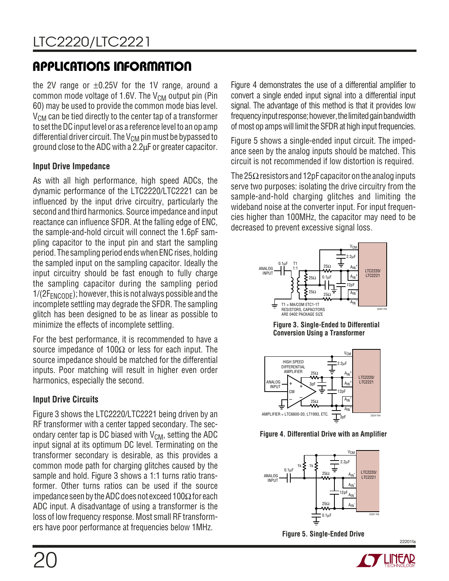the 2V range or  $\pm 0.25V$  for the 1V range, around a common mode voltage of 1.6V. The  $V_{CM}$  output pin (Pin 60) may be used to provide the common mode bias level.  $V_{CM}$  can be tied directly to the center tap of a transformer to set the DC input level or as a reference level to an op amp differential driver circuit. The  $V_{CM}$  pin must be bypassed to ground close to the ADC with a 2.2µF or greater capacitor.

### **Input Drive Impedance**

As with all high performance, high speed ADCs, the dynamic performance of the LTC2220/LTC2221 can be influenced by the input drive circuitry, particularly the second and third harmonics. Source impedance and input reactance can influence SFDR. At the falling edge of ENC, the sample-and-hold circuit will connect the 1.6pF sampling capacitor to the input pin and start the sampling period. The sampling period ends when ENC rises, holding the sampled input on the sampling capacitor. Ideally the input circuitry should be fast enough to fully charge the sampling capacitor during the sampling period  $1/(2F_{ENCODE})$ ; however, this is not always possible and the incomplete settling may degrade the SFDR. The sampling glitch has been designed to be as linear as possible to minimize the effects of incomplete settling.

For the best performance, it is recommended to have a source impedance of 100 $\Omega$  or less for each input. The source impedance should be matched for the differential inputs. Poor matching will result in higher even order harmonics, especially the second.

### **Input Drive Circuits**

Figure 3 shows the LTC2220/LTC2221 being driven by an RF transformer with a center tapped secondary. The secondary center tap is DC biased with  $V_{CM}$ , setting the ADC input signal at its optimum DC level. Terminating on the transformer secondary is desirable, as this provides a common mode path for charging glitches caused by the sample and hold. Figure 3 shows a 1:1 turns ratio transformer. Other turns ratios can be used if the source impedance seen by the ADC does not exceed 100 $\Omega$  for each ADC input. A disadvantage of using a transformer is the loss of low frequency response. Most small RF transformers have poor performance at frequencies below 1MHz.

Figure 4 demonstrates the use of a differential amplifier to convert a single ended input signal into a differential input signal. The advantage of this method is that it provides low frequency input response; however, the limited gain bandwidth of most op amps will limit the SFDR at high input frequencies.

Figure 5 shows a single-ended input circuit. The impedance seen by the analog inputs should be matched. This circuit is not recommended if low distortion is required.

The 25 $\Omega$  resistors and 12pF capacitor on the analog inputs serve two purposes: isolating the drive circuitry from the sample-and-hold charging glitches and limiting the wideband noise at the converter input. For input frequencies higher than 100MHz, the capacitor may need to be decreased to prevent excessive signal loss.



**Figure 3. Single-Ended to Differential Conversion Using a Transformer**



**Figure 4. Differential Drive with an Amplifier**



**Figure 5. Single-Ended Drive**

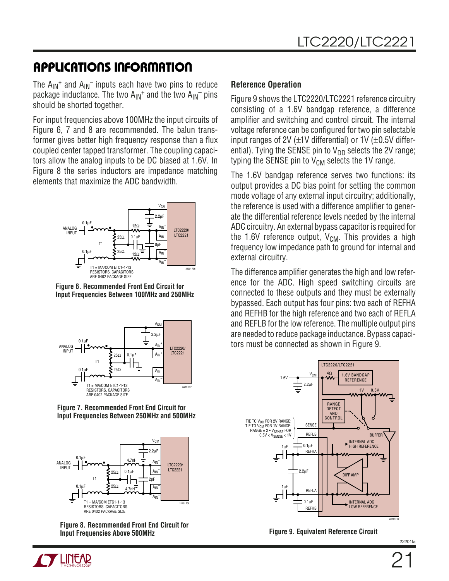The  $A_{IN}$ <sup>+</sup> and  $A_{IN}$ <sup>-</sup> inputs each have two pins to reduce package inductance. The two  $A_{IN}^+$  and the two  $A_{IN}^-$  pins should be shorted together.

For input frequencies above 100MHz the input circuits of Figure 6, 7 and 8 are recommended. The balun transformer gives better high frequency response than a flux coupled center tapped transformer. The coupling capacitors allow the analog inputs to be DC biased at 1.6V. In Figure 8 the series inductors are impedance matching elements that maximize the ADC bandwidth.



**Figure 6. Recommended Front End Circuit for Input Frequencies Between 100MHz and 250MHz**



**Figure 7. Recommended Front End Circuit for Input Frequencies Between 250MHz and 500MHz**



**Figure 8. Recommended Front End Circuit for Input Frequencies Above 500MHz**

### **Reference Operation**

Figure 9 shows the LTC2220/LTC2221 reference circuitry consisting of a 1.6V bandgap reference, a difference amplifier and switching and control circuit. The internal voltage reference can be configured for two pin selectable input ranges of 2V  $(\pm 1V)$  differential) or 1V  $(\pm 0.5V)$  differential). Tying the SENSE pin to  $V_{DD}$  selects the 2V range; typing the SENSE pin to  $V_{CM}$  selects the 1V range.

The 1.6V bandgap reference serves two functions: its output provides a DC bias point for setting the common mode voltage of any external input circuitry; additionally, the reference is used with a difference amplifier to generate the differential reference levels needed by the internal ADC circuitry. An external bypass capacitor is required for the 1.6V reference output,  $V_{CM}$ . This provides a high frequency low impedance path to ground for internal and external circuitry.

The difference amplifier generates the high and low reference for the ADC. High speed switching circuits are connected to these outputs and they must be externally bypassed. Each output has four pins: two each of REFHA and REFHB for the high reference and two each of REFLA and REFLB for the low reference. The multiple output pins are needed to reduce package inductance. Bypass capacitors must be connected as shown in Figure 9.



**Figure 9. Equivalent Reference Circuit**

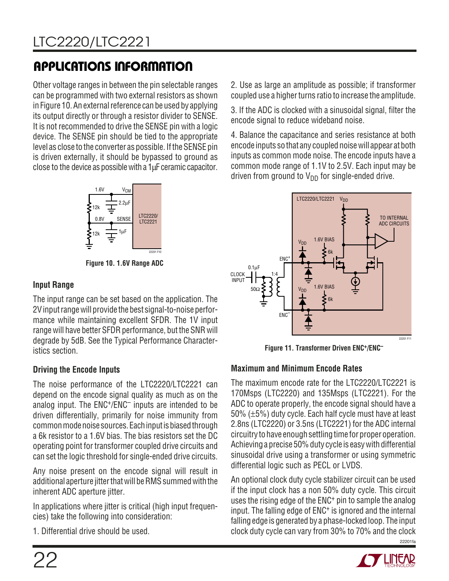Other voltage ranges in between the pin selectable ranges can be programmed with two external resistors as shown in Figure 10. An external reference can be used by applying its output directly or through a resistor divider to SENSE. It is not recommended to drive the SENSE pin with a logic device. The SENSE pin should be tied to the appropriate level as close to the converter as possible. If the SENSE pin is driven externally, it should be bypassed to ground as close to the device as possible with a 1µF ceramic capacitor.



**Figure 10. 1.6V Range ADC**

### **Input Range**

The input range can be set based on the application. The 2V input range will provide the best signal-to-noise performance while maintaining excellent SFDR. The 1V input range will have better SFDR performance, but the SNR will degrade by 5dB. See the Typical Performance Characteristics section.

### **Driving the Encode Inputs**

The noise performance of the LTC2220/LTC2221 can depend on the encode signal quality as much as on the analog input. The ENC+/ENC– inputs are intended to be driven differentially, primarily for noise immunity from common mode noise sources. Each input is biased through a 6k resistor to a 1.6V bias. The bias resistors set the DC operating point for transformer coupled drive circuits and can set the logic threshold for single-ended drive circuits.

Any noise present on the encode signal will result in additional aperture jitter that will be RMS summed with the inherent ADC aperture jitter.

In applications where jitter is critical (high input frequencies) take the following into consideration:

1. Differential drive should be used.

2. Use as large an amplitude as possible; if transformer coupled use a higher turns ratio to increase the amplitude.

3. If the ADC is clocked with a sinusoidal signal, filter the encode signal to reduce wideband noise.

4. Balance the capacitance and series resistance at both encode inputs so that any coupled noise will appear at both inputs as common mode noise. The encode inputs have a common mode range of 1.1V to 2.5V. Each input may be driven from ground to  $V_{DD}$  for single-ended drive.



**Figure 11. Transformer Driven ENC+/ENC–**

### **Maximum and Minimum Encode Rates**

The maximum encode rate for the LTC2220/LTC2221 is 170Msps (LTC2220) and 135Msps (LTC2221). For the ADC to operate properly, the encode signal should have a 50% (±5%) duty cycle. Each half cycle must have at least 2.8ns (LTC2220) or 3.5ns (LTC2221) for the ADC internal circuitry to have enough settling time for proper operation. Achieving a precise 50% duty cycle is easy with differential sinusoidal drive using a transformer or using symmetric differential logic such as PECL or LVDS.

An optional clock duty cycle stabilizer circuit can be used if the input clock has a non 50% duty cycle. This circuit uses the rising edge of the ENC+ pin to sample the analog input. The falling edge of ENC+ is ignored and the internal falling edge is generated by a phase-locked loop. The input clock duty cycle can vary from 30% to 70% and the clock

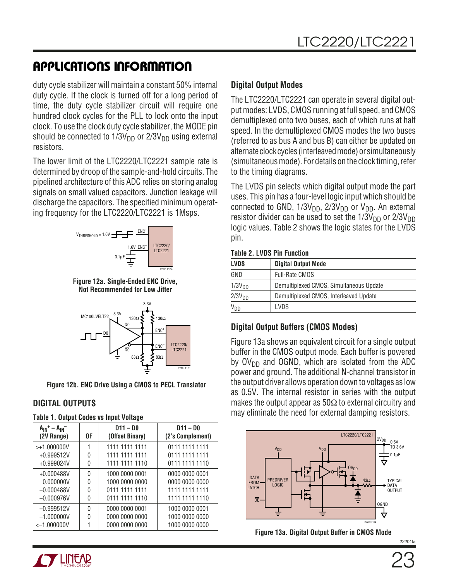duty cycle stabilizer will maintain a constant 50% internal duty cycle. If the clock is turned off for a long period of time, the duty cycle stabilizer circuit will require one hundred clock cycles for the PLL to lock onto the input clock. To use the clock duty cycle stabilizer, the MODE pin should be connected to  $1/3V_{DD}$  or  $2/3V_{DD}$  using external resistors.

The lower limit of the LTC2220/LTC2221 sample rate is determined by droop of the sample-and-hold circuits. The pipelined architecture of this ADC relies on storing analog signals on small valued capacitors. Junction leakage will discharge the capacitors. The specified minimum operating frequency for the LTC2220/LTC2221 is 1Msps.



**Figure 12a. Single-Ended ENC Drive, Not Recommended for Low Jitter**



**Figure 12b. ENC Drive Using a CMOS to PECL Translator**

### **DIGITAL OUTPUTS**

| $A_{IN}^+ - A_{IN}^-$<br>(2V Range) | 0F       | $D11 - D0$<br>(Offset Binary) | $D11 - D0$<br>(2's Complement) |
|-------------------------------------|----------|-------------------------------|--------------------------------|
| $> +1.000000V$                      |          | 1111 1111 1111                | 0111 1111 1111                 |
| $+0.999512V$                        | 0        | 1111 1111 1111                | 0111 1111 1111                 |
| $+0.999024V$                        | 0        | 1111 1111 1110                | 0111 1111 1110                 |
| $+0.000488V$                        | $\Omega$ | 1000 0000 0001                | 0000 0000 0001                 |
| 0.000000V                           | 0        | 1000 0000 0000                | 0000 0000 0000                 |
| $-0.000488V$                        | U        | 0111 1111 1111                | 1111 1111 1111                 |
| $-0.000976V$                        | 0        | 0111 1111 1110                | 1111 1111 1110                 |
| $-0.999512V$                        | $\Omega$ | 0000 0000 0001                | 1000 0000 0001                 |
| $-1.000000V$                        | 0        | 0000 0000 0000                | 1000 0000 0000                 |
| $<-1.000000V$                       |          | 0000 0000 0000                | 1000 0000 0000                 |



The LTC2220/LTC2221 can operate in several digital output modes: LVDS, CMOS running at full speed, and CMOS demultiplexed onto two buses, each of which runs at half speed. In the demultiplexed CMOS modes the two buses (referred to as bus A and bus B) can either be updated on alternate clock cycles (interleaved mode) or simultaneously (simultaneous mode). For details on the clock timing, refer to the timing diagrams.

The LVDS pin selects which digital output mode the part uses. This pin has a four-level logic input which should be connected to GND,  $1/3V_{DD}$ ,  $2/3V_{DD}$  or  $V_{DD}$ . An external resistor divider can be used to set the  $1/3V_{DD}$  or  $2/3V_{DD}$ logic values. Table 2 shows the logic states for the LVDS pin.

#### **Table 2. LVDS Pin Function**

| <b>LVDS</b>        | <b>Digital Output Mode</b>              |
|--------------------|-----------------------------------------|
| GND                | <b>Full-Rate CMOS</b>                   |
| 1/3V <sub>DD</sub> | Demultiplexed CMOS, Simultaneous Update |
| 2/3V <sub>DD</sub> | Demultiplexed CMOS, Interleaved Update  |
| Vnn                | LVDS                                    |

### **Digital Output Buffers (CMOS Modes)**

Figure 13a shows an equivalent circuit for a single output buffer in the CMOS output mode. Each buffer is powered by  $O(V_{DD}$  and OGND, which are isolated from the ADC power and ground. The additional N-channel transistor in the output driver allows operation down to voltages as low as 0.5V. The internal resistor in series with the output makes the output appear as  $50\Omega$  to external circuitry and may eliminate the need for external damping resistors.



**Figure 13a. Digital Output Buffer in CMOS Mode**

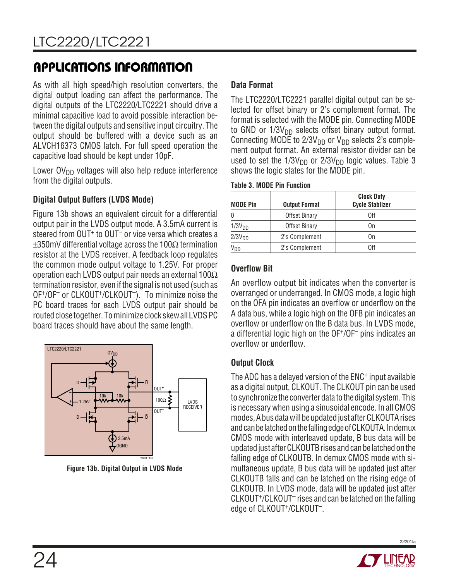As with all high speed/high resolution converters, the digital output loading can affect the performance. The digital outputs of the LTC2220/LTC2221 should drive a minimal capacitive load to avoid possible interaction between the digital outputs and sensitive input circuitry. The output should be buffered with a device such as an ALVCH16373 CMOS latch. For full speed operation the capacitive load should be kept under 10pF.

Lower  $\text{O}V_{\text{DD}}$  voltages will also help reduce interference from the digital outputs.

### **Digital Output Buffers (LVDS Mode)**

Figure 13b shows an equivalent circuit for a differential output pair in the LVDS output mode. A 3.5mA current is steered from OUT<sup>+</sup> to OUT<sup>-</sup> or vice versa which creates a  $\pm 350$ mV differential voltage across the 100 $\Omega$  termination resistor at the LVDS receiver. A feedback loop regulates the common mode output voltage to 1.25V. For proper operation each LVDS output pair needs an external  $100\Omega$ termination resistor, even if the signal is not used (such as OF+/OF– or CLKOUT+/CLKOUT–). To minimize noise the PC board traces for each LVDS output pair should be routed close together. To minimize clock skew all LVDS PC board traces should have about the same length.



**Figure 13b. Digital Output in LVDS Mode**

### **Data Format**

The LTC2220/LTC2221 parallel digital output can be selected for offset binary or 2's complement format. The format is selected with the MODE pin. Connecting MODE to GND or  $1/3V<sub>DD</sub>$  selects offset binary output format. Connecting MODE to  $2/3V_{DD}$  or  $V_{DD}$  selects 2's complement output format. An external resistor divider can be used to set the  $1/3V_{DD}$  or  $2/3V_{DD}$  logic values. Table 3 shows the logic states for the MODE pin.

| <b>MODE Pin</b>       | <b>Output Format</b> | <b>Clock Duty</b><br><b>Cycle Stablizer</b> |
|-----------------------|----------------------|---------------------------------------------|
| 0                     | Offset Binary        | 0ff                                         |
| 1/3V <sub>DD</sub>    | Offset Binary        | 0n                                          |
| 2/3V <sub>DD</sub>    | 2's Complement       | 0n                                          |
| <b>V<sub>DD</sub></b> | 2's Complement       | Nff                                         |

### **Overflow Bit**

An overflow output bit indicates when the converter is overranged or underranged. In CMOS mode, a logic high on the OFA pin indicates an overflow or underflow on the A data bus, while a logic high on the OFB pin indicates an overflow or underflow on the B data bus. In LVDS mode, a differential logic high on the OF+/OF– pins indicates an overflow or underflow.

### **Output Clock**

The ADC has a delayed version of the ENC+ input available as a digital output, CLKOUT. The CLKOUT pin can be used to synchronize the converter data to the digital system. This is necessary when using a sinusoidal encode. In all CMOS modes, A bus data will be updated just after CLKOUTA rises and can be latched on the falling edge of CLKOUTA. In demux CMOS mode with interleaved update, B bus data will be updated just after CLKOUTB rises and can be latched on the falling edge of CLKOUTB. In demux CMOS mode with simultaneous update, B bus data will be updated just after CLKOUTB falls and can be latched on the rising edge of CLKOUTB. In LVDS mode, data will be updated just after CLKOUT+/CLKOUT– rises and can be latched on the falling edge of CLKOUT+/CLKOUT–.

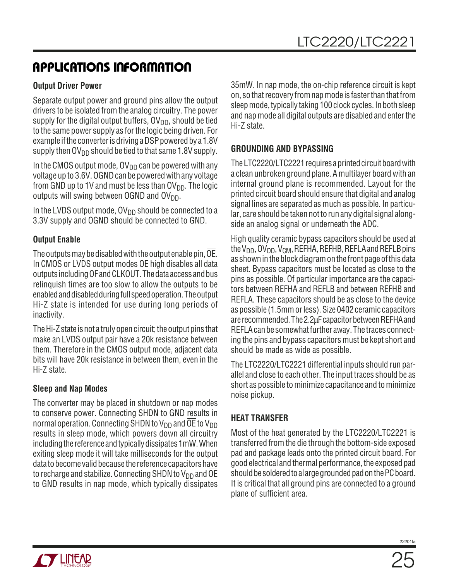### **Output Driver Power**

Separate output power and ground pins allow the output drivers to be isolated from the analog circuitry. The power supply for the digital output buffers,  $\text{OV}_{DD}$ , should be tied to the same power supply as for the logic being driven. For example if the converter is driving a DSP powered by a 1.8V supply then  $\mathsf{OV}_{\mathsf{DD}}$  should be tied to that same 1.8V supply.

In the CMOS output mode,  $\text{OV}_{\text{DD}}$  can be powered with any voltage up to 3.6V. OGND can be powered with any voltage from GND up to 1V and must be less than  $\text{OV}_{\text{DD}}$ . The logic outputs will swing between OGND and  $\text{OV}_{DD}$ .

In the LVDS output mode,  $OV_{DD}$  should be connected to a 3.3V supply and OGND should be connected to GND.

### **Output Enable**

The outputs may be disabled with the output enable pin, OE. In CMOS or LVDS output modes OE high disables all data outputs including OF and CLKOUT. The data access and bus relinquish times are too slow to allow the outputs to be enabled and disabled during full speed operation. The output Hi-Z state is intended for use during long periods of inactivity.

The Hi-Z state is not a truly open circuit; the output pins that make an LVDS output pair have a 20k resistance between them. Therefore in the CMOS output mode, adjacent data bits will have 20k resistance in between them, even in the Hi-Z state.

### **Sleep and Nap Modes**

The converter may be placed in shutdown or nap modes to conserve power. Connecting SHDN to GND results in normal operation. Connecting SHDN to  $V_{DD}$  and OE to  $V_{DD}$ results in sleep mode, which powers down all circuitry including the reference and typically dissipates 1mW. When exiting sleep mode it will take milliseconds for the output data to become valid because the reference capacitors have to recharge and stabilize. Connecting SHDN to  $V_{DD}$  and OE to GND results in nap mode, which typically dissipates

35mW. In nap mode, the on-chip reference circuit is kept on, so that recovery from nap mode is faster than that from sleep mode, typically taking 100 clock cycles. In both sleep and nap mode all digital outputs are disabled and enter the Hi-Z state.

### **GROUNDING AND BYPASSING**

The LTC2220/LTC2221 requires a printed circuit board with a clean unbroken ground plane. A multilayer board with an internal ground plane is recommended. Layout for the printed circuit board should ensure that digital and analog signal lines are separated as much as possible. In particular, care should be taken not to run any digital signal alongside an analog signal or underneath the ADC.

High quality ceramic bypass capacitors should be used at the  $V_{DD}$ , OV<sub>DD</sub>, V<sub>CM</sub>, REFHA, REFHB, REFLA and REFLB pins as shown in the block diagram on the front page of this data sheet. Bypass capacitors must be located as close to the pins as possible. Of particular importance are the capacitors between REFHA and REFLB and between REFHB and REFLA. These capacitors should be as close to the device as possible (1.5mm or less). Size 0402 ceramic capacitors are recommended. The 2.2µF capacitor between REFHA and REFLA can be somewhat further away. The traces connecting the pins and bypass capacitors must be kept short and should be made as wide as possible.

The LTC2220/LTC2221 differential inputs should run parallel and close to each other. The input traces should be as short as possible to minimize capacitance and to minimize noise pickup.

### **HEAT TRANSFER**

Most of the heat generated by the LTC2220/LTC2221 is transferred from the die through the bottom-side exposed pad and package leads onto the printed circuit board. For good electrical and thermal performance, the exposed pad should be soldered to a large grounded pad on the PC board. It is critical that all ground pins are connected to a ground plane of sufficient area.

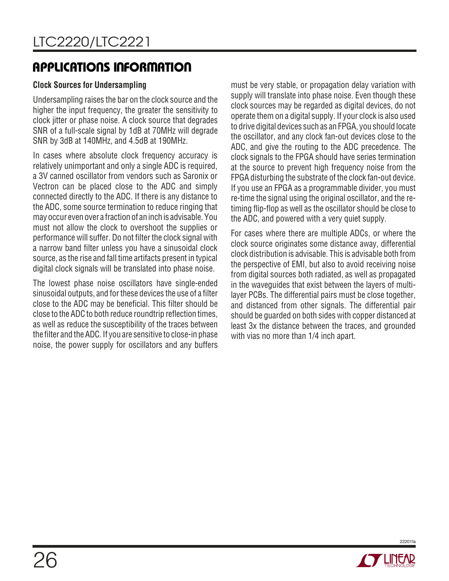### **Clock Sources for Undersampling**

Undersampling raises the bar on the clock source and the higher the input frequency, the greater the sensitivity to clock jitter or phase noise. A clock source that degrades SNR of a full-scale signal by 1dB at 70MHz will degrade SNR by 3dB at 140MHz, and 4.5dB at 190MHz.

In cases where absolute clock frequency accuracy is relatively unimportant and only a single ADC is required, a 3V canned oscillator from vendors such as Saronix or Vectron can be placed close to the ADC and simply connected directly to the ADC. If there is any distance to the ADC, some source termination to reduce ringing that may occur even over a fraction of an inch is advisable. You must not allow the clock to overshoot the supplies or performance will suffer. Do not filter the clock signal with a narrow band filter unless you have a sinusoidal clock source, as the rise and fall time artifacts present in typical digital clock signals will be translated into phase noise.

The lowest phase noise oscillators have single-ended sinusoidal outputs, and for these devices the use of a filter close to the ADC may be beneficial. This filter should be close to the ADC to both reduce roundtrip reflection times, as well as reduce the susceptibility of the traces between the filter and the ADC. If you are sensitive to close-in phase noise, the power supply for oscillators and any buffers

must be very stable, or propagation delay variation with supply will translate into phase noise. Even though these clock sources may be regarded as digital devices, do not operate them on a digital supply. If your clock is also used to drive digital devices such as an FPGA, you should locate the oscillator, and any clock fan-out devices close to the ADC, and give the routing to the ADC precedence. The clock signals to the FPGA should have series termination at the source to prevent high frequency noise from the FPGA disturbing the substrate of the clock fan-out device. If you use an FPGA as a programmable divider, you must re-time the signal using the original oscillator, and the retiming flip-flop as well as the oscillator should be close to the ADC, and powered with a very quiet supply.

For cases where there are multiple ADCs, or where the clock source originates some distance away, differential clock distribution is advisable. This is advisable both from the perspective of EMI, but also to avoid receiving noise from digital sources both radiated, as well as propagated in the waveguides that exist between the layers of multilayer PCBs. The differential pairs must be close together, and distanced from other signals. The differential pair should be guarded on both sides with copper distanced at least 3x the distance between the traces, and grounded with vias no more than 1/4 inch apart.

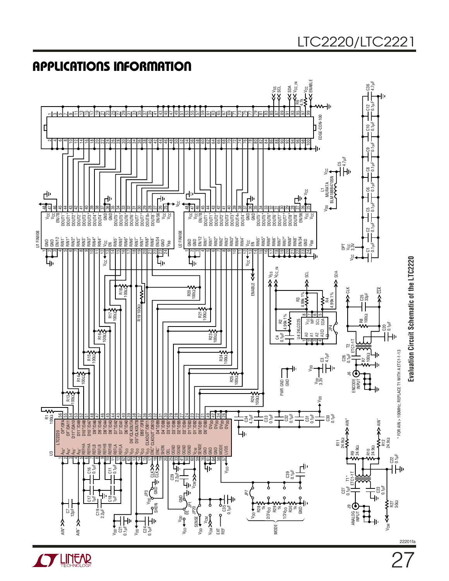

# LTC2220/LTC2221

**STAR LINEAR** 

27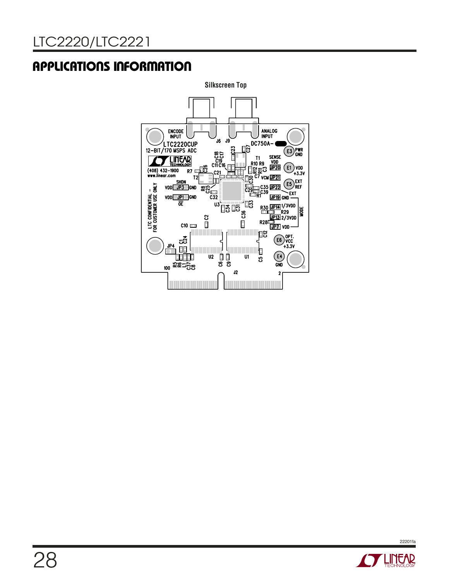

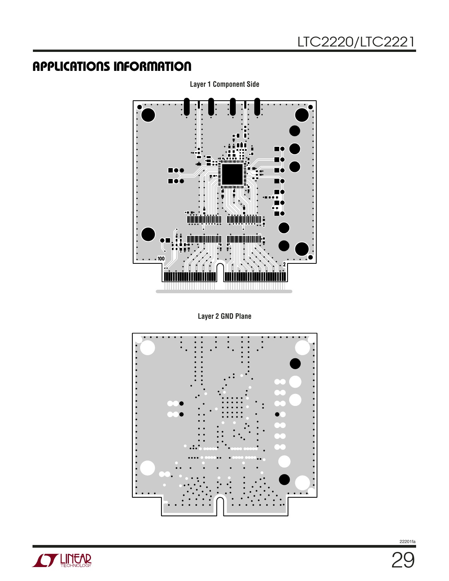

**Layer 1 Component Side**

**Layer 2 GND Plane**



**STARTED BY**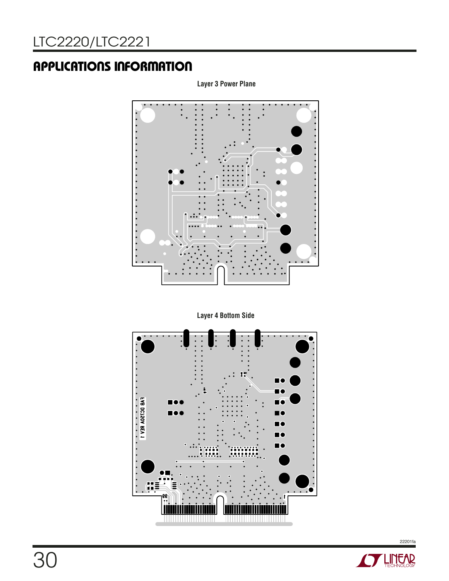**Layer 3 Power Plane**



**Layer 4 Bottom Side**



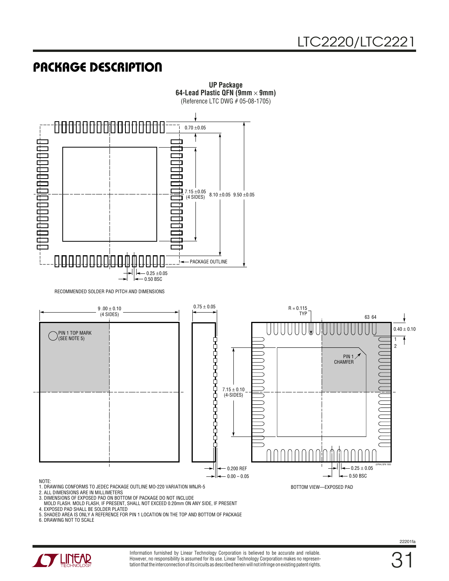# **PACKAGE DESCRIPTION**



**UP Package**

3. DIMENSIONS OF EXPOSED PAD ON BOTTOM OF PACKAGE DO NOT INCLUDE

MOLD FLASH. MOLD FLASH, IF PRESENT, SHALL NOT EXCEED 0.20mm ON ANY SIDE, IF PRESENT

4. EXPOSED PAD SHALL BE SOLDER PLATED

5. SHADED AREA IS ONLY A REFERENCE FOR PIN 1 LOCATION ON THE TOP AND BOTTOM OF PACKAGE

6. DRAWING NOT TO SCALE



Information furnished by Linear Technology Corporation is believed to be accurate and reliable. However, no responsibility is assumed for its use. Linear Technology Corporation makes no representation that the interconnection of its circuits as described herein will not infringe on existing patent rights.